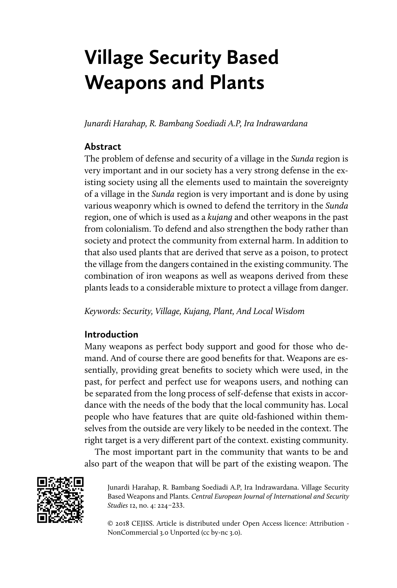# **Village Security Based Weapons and Plants**

*Junardi Harahap, R. Bambang Soediadi A.P, Ira Indrawardana* 

## **Abstract**

The problem of defense and security of a village in the *Sunda* region is very important and in our society has a very strong defense in the existing society using all the elements used to maintain the sovereignty of a village in the *Sunda* region is very important and is done by using various weaponry which is owned to defend the territory in the *Sunda* region, one of which is used as a *kujang* and other weapons in the past from colonialism. To defend and also strengthen the body rather than society and protect the community from external harm. In addition to that also used plants that are derived that serve as a poison, to protect the village from the dangers contained in the existing community. The combination of iron weapons as well as weapons derived from these plants leads to a considerable mixture to protect a village from danger.

*Keywords: Security, Village, Kujang, Plant, And Local Wisdom*

## **Introduction**

Many weapons as perfect body support and good for those who demand. And of course there are good benefits for that. Weapons are essentially, providing great benefits to society which were used, in the past, for perfect and perfect use for weapons users, and nothing can be separated from the long process of self-defense that exists in accordance with the needs of the body that the local community has. Local people who have features that are quite old-fashioned within themselves from the outside are very likely to be needed in the context. The right target is a very different part of the context. existing community.

The most important part in the community that wants to be and also part of the weapon that will be part of the existing weapon. The



Junardi Harahap, R. Bambang Soediadi A.P, Ira Indrawardana. Village Security Based Weapons and Plants. *Central European Journal of International and Security Studies* 12, no. 4: 224–233.

© 2018 CEJISS. Article is distributed under Open Access licence: Attribution - NonCommercial 3.0 Unported (cc by-nc 3.0).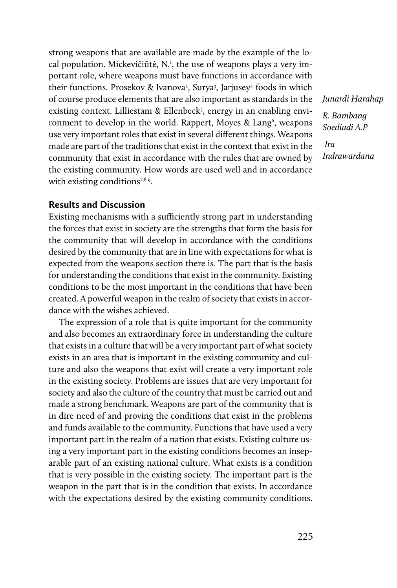strong weapons that are available are made by the example of the local population. Mickevičiūtė, N.<sup>1</sup>, the use of weapons plays a very important role, where weapons must have functions in accordance with their functions. Prosekov & Ivanova<sup>2</sup>, Surya<sup>3</sup>, Jarjusey<sup>4</sup> foods in which of course produce elements that are also important as standards in the existing context. Lilliestam & Ellenbeck<sup>5</sup>, energy in an enabling environment to develop in the world. Rappert, Moyes & Lang<sup>6</sup>, weapons use very important roles that exist in several different things. Weapons made are part of the traditions that exist in the context that exist in the community that exist in accordance with the rules that are owned by the existing community. How words are used well and in accordance with existing conditions<sup>7,8,9</sup>.

*Junardi Harahap R. Bambang Soediadi A.P*

 *Ira Indrawardana*

#### **Results and Discussion**

Existing mechanisms with a sufficiently strong part in understanding the forces that exist in society are the strengths that form the basis for the community that will develop in accordance with the conditions desired by the community that are in line with expectations for what is expected from the weapons section there is. The part that is the basis for understanding the conditions that exist in the community. Existing conditions to be the most important in the conditions that have been created. A powerful weapon in the realm of society that exists in accordance with the wishes achieved.

The expression of a role that is quite important for the community and also becomes an extraordinary force in understanding the culture that exists in a culture that will be a very important part of what society exists in an area that is important in the existing community and culture and also the weapons that exist will create a very important role in the existing society. Problems are issues that are very important for society and also the culture of the country that must be carried out and made a strong benchmark. Weapons are part of the community that is in dire need of and proving the conditions that exist in the problems and funds available to the community. Functions that have used a very important part in the realm of a nation that exists. Existing culture using a very important part in the existing conditions becomes an inseparable part of an existing national culture. What exists is a condition that is very possible in the existing society. The important part is the weapon in the part that is in the condition that exists. In accordance with the expectations desired by the existing community conditions.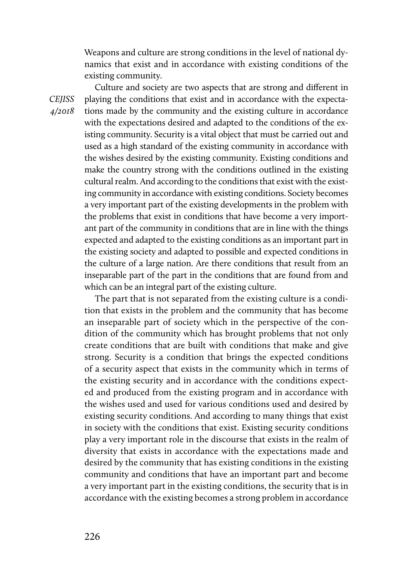Weapons and culture are strong conditions in the level of national dynamics that exist and in accordance with existing conditions of the existing community.

*CEJISS 4/2018* 

Culture and society are two aspects that are strong and different in playing the conditions that exist and in accordance with the expectations made by the community and the existing culture in accordance with the expectations desired and adapted to the conditions of the existing community. Security is a vital object that must be carried out and used as a high standard of the existing community in accordance with the wishes desired by the existing community. Existing conditions and make the country strong with the conditions outlined in the existing cultural realm. And according to the conditions that exist with the existing community in accordance with existing conditions. Society becomes a very important part of the existing developments in the problem with the problems that exist in conditions that have become a very important part of the community in conditions that are in line with the things expected and adapted to the existing conditions as an important part in the existing society and adapted to possible and expected conditions in the culture of a large nation. Are there conditions that result from an inseparable part of the part in the conditions that are found from and which can be an integral part of the existing culture.

The part that is not separated from the existing culture is a condition that exists in the problem and the community that has become an inseparable part of society which in the perspective of the condition of the community which has brought problems that not only create conditions that are built with conditions that make and give strong. Security is a condition that brings the expected conditions of a security aspect that exists in the community which in terms of the existing security and in accordance with the conditions expected and produced from the existing program and in accordance with the wishes used and used for various conditions used and desired by existing security conditions. And according to many things that exist in society with the conditions that exist. Existing security conditions play a very important role in the discourse that exists in the realm of diversity that exists in accordance with the expectations made and desired by the community that has existing conditions in the existing community and conditions that have an important part and become a very important part in the existing conditions, the security that is in accordance with the existing becomes a strong problem in accordance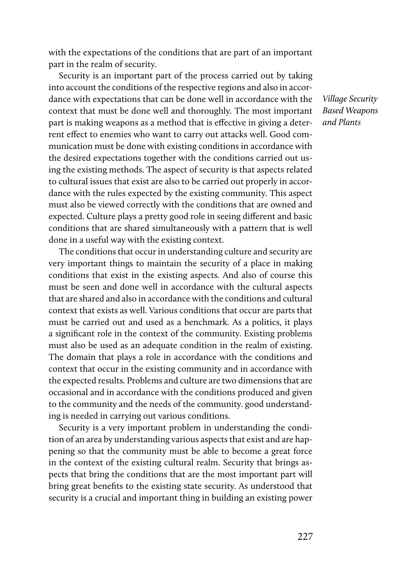with the expectations of the conditions that are part of an important part in the realm of security.

Security is an important part of the process carried out by taking into account the conditions of the respective regions and also in accordance with expectations that can be done well in accordance with the context that must be done well and thoroughly. The most important part is making weapons as a method that is effective in giving a deterrent effect to enemies who want to carry out attacks well. Good communication must be done with existing conditions in accordance with the desired expectations together with the conditions carried out using the existing methods. The aspect of security is that aspects related to cultural issues that exist are also to be carried out properly in accordance with the rules expected by the existing community. This aspect must also be viewed correctly with the conditions that are owned and expected. Culture plays a pretty good role in seeing different and basic conditions that are shared simultaneously with a pattern that is well done in a useful way with the existing context.

The conditions that occur in understanding culture and security are very important things to maintain the security of a place in making conditions that exist in the existing aspects. And also of course this must be seen and done well in accordance with the cultural aspects that are shared and also in accordance with the conditions and cultural context that exists as well. Various conditions that occur are parts that must be carried out and used as a benchmark. As a politics, it plays a significant role in the context of the community. Existing problems must also be used as an adequate condition in the realm of existing. The domain that plays a role in accordance with the conditions and context that occur in the existing community and in accordance with the expected results. Problems and culture are two dimensions that are occasional and in accordance with the conditions produced and given to the community and the needs of the community. good understanding is needed in carrying out various conditions.

Security is a very important problem in understanding the condition of an area by understanding various aspects that exist and are happening so that the community must be able to become a great force in the context of the existing cultural realm. Security that brings aspects that bring the conditions that are the most important part will bring great benefits to the existing state security. As understood that security is a crucial and important thing in building an existing power

*Village Security Based Weapons and Plants*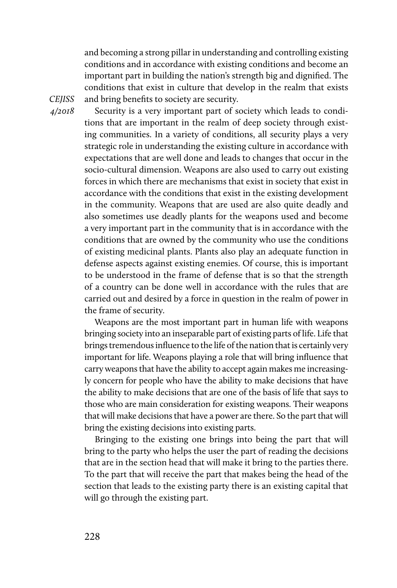and becoming a strong pillar in understanding and controlling existing conditions and in accordance with existing conditions and become an important part in building the nation's strength big and dignified. The conditions that exist in culture that develop in the realm that exists and bring benefits to society are security.

*CEJISS 4/2018* 

Security is a very important part of society which leads to conditions that are important in the realm of deep society through existing communities. In a variety of conditions, all security plays a very strategic role in understanding the existing culture in accordance with expectations that are well done and leads to changes that occur in the socio-cultural dimension. Weapons are also used to carry out existing forces in which there are mechanisms that exist in society that exist in accordance with the conditions that exist in the existing development in the community. Weapons that are used are also quite deadly and also sometimes use deadly plants for the weapons used and become a very important part in the community that is in accordance with the conditions that are owned by the community who use the conditions of existing medicinal plants. Plants also play an adequate function in defense aspects against existing enemies. Of course, this is important to be understood in the frame of defense that is so that the strength of a country can be done well in accordance with the rules that are carried out and desired by a force in question in the realm of power in the frame of security.

Weapons are the most important part in human life with weapons bringing society into an inseparable part of existing parts of life. Life that brings tremendous influence to the life of the nation that is certainly very important for life. Weapons playing a role that will bring influence that carry weapons that have the ability to accept again makes me increasingly concern for people who have the ability to make decisions that have the ability to make decisions that are one of the basis of life that says to those who are main consideration for existing weapons. Their weapons that will make decisions that have a power are there. So the part that will bring the existing decisions into existing parts.

Bringing to the existing one brings into being the part that will bring to the party who helps the user the part of reading the decisions that are in the section head that will make it bring to the parties there. To the part that will receive the part that makes being the head of the section that leads to the existing party there is an existing capital that will go through the existing part.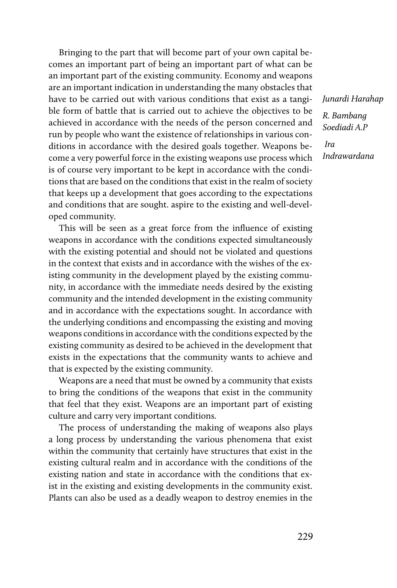Bringing to the part that will become part of your own capital becomes an important part of being an important part of what can be an important part of the existing community. Economy and weapons are an important indication in understanding the many obstacles that have to be carried out with various conditions that exist as a tangible form of battle that is carried out to achieve the objectives to be achieved in accordance with the needs of the person concerned and run by people who want the existence of relationships in various conditions in accordance with the desired goals together. Weapons become a very powerful force in the existing weapons use process which is of course very important to be kept in accordance with the conditions that are based on the conditions that exist in the realm of society that keeps up a development that goes according to the expectations and conditions that are sought. aspire to the existing and well-developed community.

This will be seen as a great force from the influence of existing weapons in accordance with the conditions expected simultaneously with the existing potential and should not be violated and questions in the context that exists and in accordance with the wishes of the existing community in the development played by the existing community, in accordance with the immediate needs desired by the existing community and the intended development in the existing community and in accordance with the expectations sought. In accordance with the underlying conditions and encompassing the existing and moving weapons conditions in accordance with the conditions expected by the existing community as desired to be achieved in the development that exists in the expectations that the community wants to achieve and that is expected by the existing community.

Weapons are a need that must be owned by a community that exists to bring the conditions of the weapons that exist in the community that feel that they exist. Weapons are an important part of existing culture and carry very important conditions.

The process of understanding the making of weapons also plays a long process by understanding the various phenomena that exist within the community that certainly have structures that exist in the existing cultural realm and in accordance with the conditions of the existing nation and state in accordance with the conditions that exist in the existing and existing developments in the community exist. Plants can also be used as a deadly weapon to destroy enemies in the

*Junardi Harahap R. Bambang Soediadi A.P*

 *Ira Indrawardana*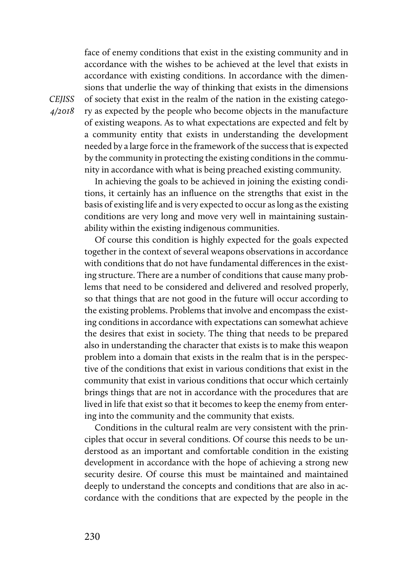face of enemy conditions that exist in the existing community and in accordance with the wishes to be achieved at the level that exists in accordance with existing conditions. In accordance with the dimensions that underlie the way of thinking that exists in the dimensions of society that exist in the realm of the nation in the existing category as expected by the people who become objects in the manufacture of existing weapons. As to what expectations are expected and felt by a community entity that exists in understanding the development needed by a large force in the framework of the success that is expected by the community in protecting the existing conditions in the community in accordance with what is being preached existing community.

In achieving the goals to be achieved in joining the existing conditions, it certainly has an influence on the strengths that exist in the basis of existing life and is very expected to occur as long as the existing conditions are very long and move very well in maintaining sustainability within the existing indigenous communities.

Of course this condition is highly expected for the goals expected together in the context of several weapons observations in accordance with conditions that do not have fundamental differences in the existing structure. There are a number of conditions that cause many problems that need to be considered and delivered and resolved properly, so that things that are not good in the future will occur according to the existing problems. Problems that involve and encompass the existing conditions in accordance with expectations can somewhat achieve the desires that exist in society. The thing that needs to be prepared also in understanding the character that exists is to make this weapon problem into a domain that exists in the realm that is in the perspective of the conditions that exist in various conditions that exist in the community that exist in various conditions that occur which certainly brings things that are not in accordance with the procedures that are lived in life that exist so that it becomes to keep the enemy from entering into the community and the community that exists.

Conditions in the cultural realm are very consistent with the principles that occur in several conditions. Of course this needs to be understood as an important and comfortable condition in the existing development in accordance with the hope of achieving a strong new security desire. Of course this must be maintained and maintained deeply to understand the concepts and conditions that are also in accordance with the conditions that are expected by the people in the

*CEJISS 4/2018*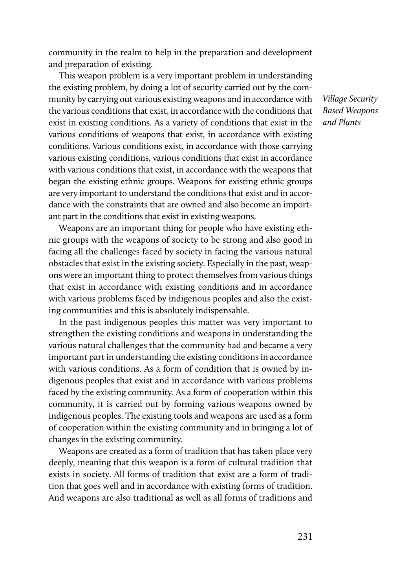community in the realm to help in the preparation and development and preparation of existing.

This weapon problem is a very important problem in understanding the existing problem, by doing a lot of security carried out by the community by carrying out various existing weapons and in accordance with the various conditions that exist, in accordance with the conditions that exist in existing conditions. As a variety of conditions that exist in the various conditions of weapons that exist, in accordance with existing conditions. Various conditions exist, in accordance with those carrying various existing conditions, various conditions that exist in accordance with various conditions that exist, in accordance with the weapons that began the existing ethnic groups. Weapons for existing ethnic groups are very important to understand the conditions that exist and in accordance with the constraints that are owned and also become an important part in the conditions that exist in existing weapons.

Weapons are an important thing for people who have existing ethnic groups with the weapons of society to be strong and also good in facing all the challenges faced by society in facing the various natural obstacles that exist in the existing society. Especially in the past, weapons were an important thing to protect themselves from various things that exist in accordance with existing conditions and in accordance with various problems faced by indigenous peoples and also the existing communities and this is absolutely indispensable.

In the past indigenous peoples this matter was very important to strengthen the existing conditions and weapons in understanding the various natural challenges that the community had and became a very important part in understanding the existing conditions in accordance with various conditions. As a form of condition that is owned by indigenous peoples that exist and in accordance with various problems faced by the existing community. As a form of cooperation within this community, it is carried out by forming various weapons owned by indigenous peoples. The existing tools and weapons are used as a form of cooperation within the existing community and in bringing a lot of changes in the existing community.

Weapons are created as a form of tradition that has taken place very deeply, meaning that this weapon is a form of cultural tradition that exists in society. All forms of tradition that exist are a form of tradition that goes well and in accordance with existing forms of tradition. And weapons are also traditional as well as all forms of traditions and

*Village Security Based Weapons and Plants*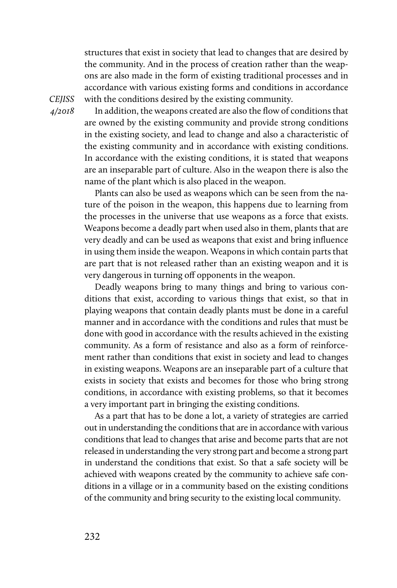structures that exist in society that lead to changes that are desired by the community. And in the process of creation rather than the weapons are also made in the form of existing traditional processes and in accordance with various existing forms and conditions in accordance with the conditions desired by the existing community.

*CEJISS 4/2018* 

In addition, the weapons created are also the flow of conditions that are owned by the existing community and provide strong conditions in the existing society, and lead to change and also a characteristic of the existing community and in accordance with existing conditions. In accordance with the existing conditions, it is stated that weapons are an inseparable part of culture. Also in the weapon there is also the name of the plant which is also placed in the weapon.

Plants can also be used as weapons which can be seen from the nature of the poison in the weapon, this happens due to learning from the processes in the universe that use weapons as a force that exists. Weapons become a deadly part when used also in them, plants that are very deadly and can be used as weapons that exist and bring influence in using them inside the weapon. Weapons in which contain parts that are part that is not released rather than an existing weapon and it is very dangerous in turning off opponents in the weapon.

Deadly weapons bring to many things and bring to various conditions that exist, according to various things that exist, so that in playing weapons that contain deadly plants must be done in a careful manner and in accordance with the conditions and rules that must be done with good in accordance with the results achieved in the existing community. As a form of resistance and also as a form of reinforcement rather than conditions that exist in society and lead to changes in existing weapons. Weapons are an inseparable part of a culture that exists in society that exists and becomes for those who bring strong conditions, in accordance with existing problems, so that it becomes a very important part in bringing the existing conditions.

As a part that has to be done a lot, a variety of strategies are carried out in understanding the conditions that are in accordance with various conditions that lead to changes that arise and become parts that are not released in understanding the very strong part and become a strong part in understand the conditions that exist. So that a safe society will be achieved with weapons created by the community to achieve safe conditions in a village or in a community based on the existing conditions of the community and bring security to the existing local community.